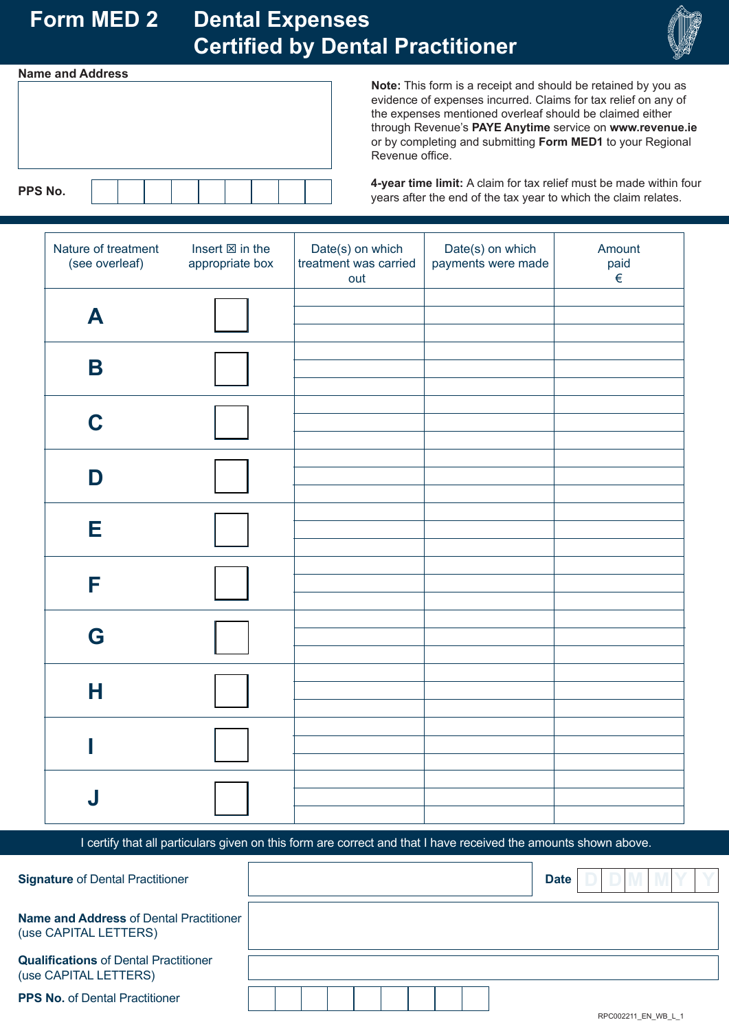# **Form MED 2 Dental Expenses Certified by Dental Practitioner**



#### **Name and Address**



**Note:** This form is a receipt and should be retained by you as evidence of expenses incurred. Claims for tax relief on any of the expenses mentioned overleaf should be claimed either through Revenue's **PAYE Anytime** service on **www.revenue.ie**  or by completing and submitting **Form MED1** to your Regional Revenue office.

**4-year time limit:** A claim for tax relief must be made within four years after the end of the tax year to which the claim relates.

| Nature of treatment<br>(see overleaf) | Insert $\boxtimes$ in the<br>appropriate box | Date(s) on which<br>treatment was carried<br>out | Date(s) on which<br>payments were made | Amount<br>paid<br>$\in$ |
|---------------------------------------|----------------------------------------------|--------------------------------------------------|----------------------------------------|-------------------------|
| A                                     |                                              |                                                  |                                        |                         |
| $\mathbf B$                           |                                              |                                                  |                                        |                         |
| C                                     |                                              |                                                  |                                        |                         |
| D                                     |                                              |                                                  |                                        |                         |
| Е                                     |                                              |                                                  |                                        |                         |
| F                                     |                                              |                                                  |                                        |                         |
| G                                     |                                              |                                                  |                                        |                         |
| Н                                     |                                              |                                                  |                                        |                         |
|                                       |                                              |                                                  |                                        |                         |
| J                                     |                                              |                                                  |                                        |                         |

I certify that all particulars given on this form are correct and that I have received the amounts shown above.

| <b>Signature of Dental Practitioner</b>                                 | <b>Date</b>         |
|-------------------------------------------------------------------------|---------------------|
| <b>Name and Address of Dental Practitioner</b><br>(use CAPITAL LETTERS) |                     |
| <b>Qualifications of Dental Practitioner</b><br>(use CAPITAL LETTERS)   |                     |
| <b>PPS No. of Dental Practitioner</b>                                   | RPC002211 EN WB L 1 |